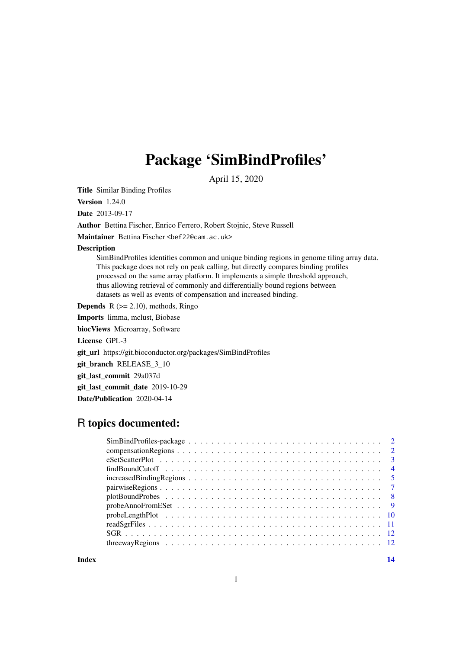# Package 'SimBindProfiles'

April 15, 2020

<span id="page-0-0"></span>Title Similar Binding Profiles

Version 1.24.0

Date 2013-09-17

Author Bettina Fischer, Enrico Ferrero, Robert Stojnic, Steve Russell

Maintainer Bettina Fischer <br/>bef22@cam.ac.uk>

Description

SimBindProfiles identifies common and unique binding regions in genome tiling array data. This package does not rely on peak calling, but directly compares binding profiles processed on the same array platform. It implements a simple threshold approach, thus allowing retrieval of commonly and differentially bound regions between datasets as well as events of compensation and increased binding.

**Depends**  $R$  ( $>= 2.10$ ), methods, Ringo

Imports limma, mclust, Biobase biocViews Microarray, Software License GPL-3 git\_url https://git.bioconductor.org/packages/SimBindProfiles git\_branch RELEASE\_3\_10 git\_last\_commit 29a037d git last commit date 2019-10-29 Date/Publication 2020-04-14

# R topics documented: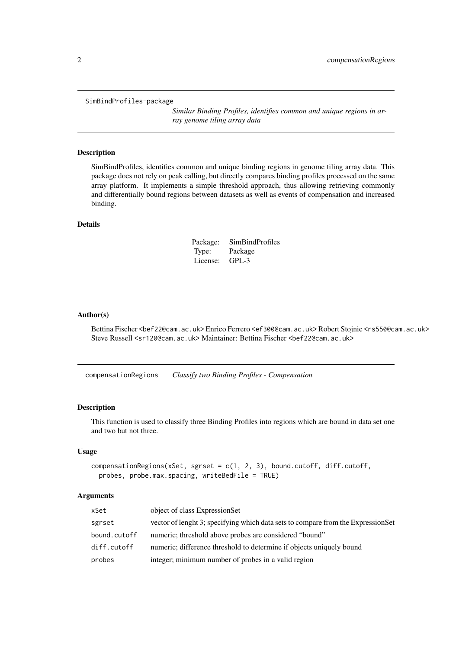#### <span id="page-1-0"></span>SimBindProfiles-package

*Similar Binding Profiles, identifies common and unique regions in array genome tiling array data*

# Description

SimBindProfiles, identifies common and unique binding regions in genome tiling array data. This package does not rely on peak calling, but directly compares binding profiles processed on the same array platform. It implements a simple threshold approach, thus allowing retrieving commonly and differentially bound regions between datasets as well as events of compensation and increased binding.

# Details

| Package: | <b>SimBindProfiles</b> |
|----------|------------------------|
| Type:    | Package                |
| License: | $GPL-3$                |

#### Author(s)

Bettina Fischer <bef22@cam.ac.uk> Enrico Ferrero <ef300@cam.ac.uk> Robert Stojnic <rs550@cam.ac.uk> Steve Russell <sr120@cam.ac.uk> Maintainer: Bettina Fischer <bef22@cam.ac.uk>

<span id="page-1-1"></span>compensationRegions *Classify two Binding Profiles - Compensation*

#### Description

This function is used to classify three Binding Profiles into regions which are bound in data set one and two but not three.

# Usage

```
compensationRegions(xSet, sgrset = c(1, 2, 3), bound.cutoff, diff.cutoff,
 probes, probe.max.spacing, writeBedFile = TRUE)
```
#### Arguments

| xSet         | object of class ExpressionSet                                                    |
|--------------|----------------------------------------------------------------------------------|
| sgrset       | vector of lenght 3; specifying which data sets to compare from the ExpressionSet |
| bound.cutoff | numeric; threshold above probes are considered "bound"                           |
| diff.cutoff  | numeric; difference threshold to determine if objects uniquely bound             |
| probes       | integer; minimum number of probes in a valid region                              |
|              |                                                                                  |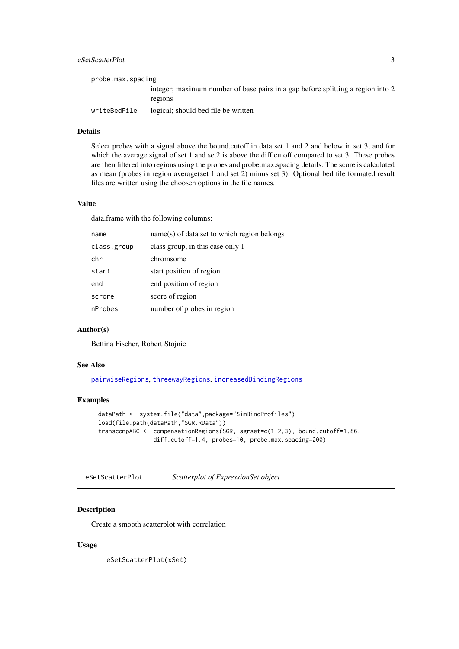#### <span id="page-2-0"></span>eSetScatterPlot 3

| probe.max.spacing |                                                                                            |
|-------------------|--------------------------------------------------------------------------------------------|
|                   | integer; maximum number of base pairs in a gap before splitting a region into 2<br>regions |
| writeBedFile      | logical; should bed file be written                                                        |

# Details

Select probes with a signal above the bound.cutoff in data set 1 and 2 and below in set 3, and for which the average signal of set 1 and set2 is above the diff.cutoff compared to set 3. These probes are then filtered into regions using the probes and probe.max.spacing details. The score is calculated as mean (probes in region average(set 1 and set 2) minus set 3). Optional bed file formated result files are written using the choosen options in the file names.

#### Value

data.frame with the following columns:

| name        | name(s) of data set to which region belongs |
|-------------|---------------------------------------------|
| class.group | class group, in this case only 1            |
| chr         | chromsome                                   |
| start       | start position of region                    |
| end         | end position of region                      |
| scrore      | score of region                             |
| nProbes     | number of probes in region                  |
|             |                                             |

# Author(s)

Bettina Fischer, Robert Stojnic

#### See Also

[pairwiseRegions](#page-6-1), [threewayRegions](#page-11-1), [increasedBindingRegions](#page-4-1)

#### Examples

```
dataPath <- system.file("data",package="SimBindProfiles")
load(file.path(dataPath,"SGR.RData"))
transcompABC <- compensationRegions(SGR, sgrset=c(1,2,3), bound.cutoff=1.86,
                diff.cutoff=1.4, probes=10, probe.max.spacing=200)
```
eSetScatterPlot *Scatterplot of ExpressionSet object*

# Description

Create a smooth scatterplot with correlation

# Usage

eSetScatterPlot(xSet)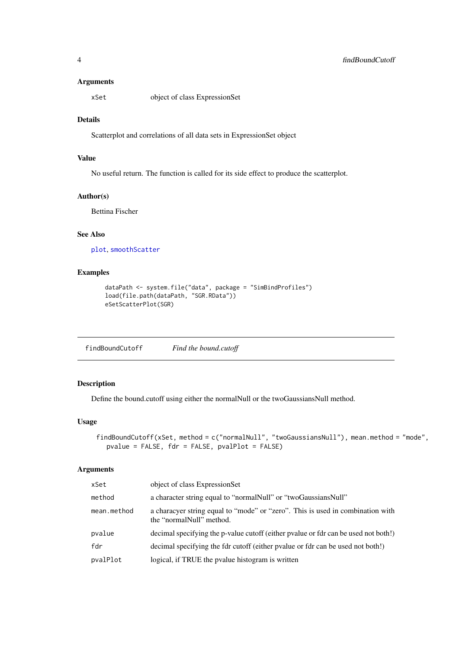# <span id="page-3-0"></span>Arguments

xSet object of class ExpressionSet

#### Details

Scatterplot and correlations of all data sets in ExpressionSet object

### Value

No useful return. The function is called for its side effect to produce the scatterplot.

#### Author(s)

Bettina Fischer

# See Also

[plot](#page-0-0), [smoothScatter](#page-0-0)

#### Examples

```
dataPath <- system.file("data", package = "SimBindProfiles")
load(file.path(dataPath, "SGR.RData"))
eSetScatterPlot(SGR)
```
findBoundCutoff *Find the bound.cutoff*

# Description

Define the bound.cutoff using either the normalNull or the twoGaussiansNull method.

# Usage

```
findBoundCutoff(xSet, method = c("normalNull", "twoGaussiansNull"), mean.method = "mode",
  pvalue = FALSE, fdr = FALSE, pvalPlot = FALSE)
```
#### Arguments

| xSet        | object of class ExpressionSet                                                                              |
|-------------|------------------------------------------------------------------------------------------------------------|
| method      | a character string equal to "normal Null" or "two Gaussians Null"                                          |
| mean.method | a characyer string equal to "mode" or "zero". This is used in combination with<br>the "normalNull" method. |
| pvalue      | decimal specifying the p-value cutoff (either pvalue or fdr can be used not both!)                         |
| fdr         | decimal specifying the fdr cutoff (either pvalue or fdr can be used not both!)                             |
| pvalPlot    | logical, if TRUE the pvalue histogram is written                                                           |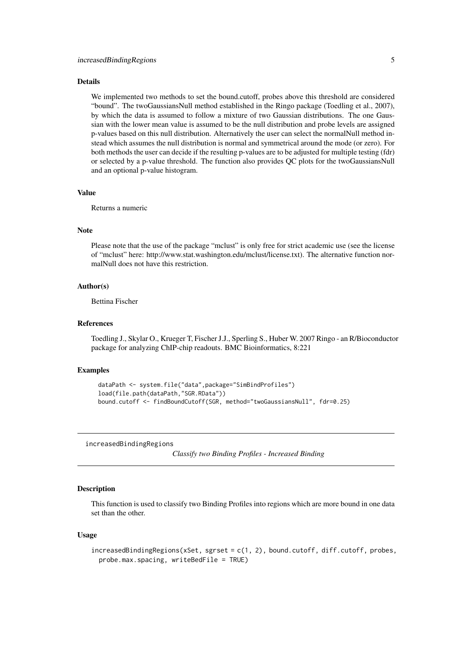#### <span id="page-4-0"></span>Details

We implemented two methods to set the bound.cutoff, probes above this threshold are considered "bound". The twoGaussiansNull method established in the Ringo package (Toedling et al., 2007), by which the data is assumed to follow a mixture of two Gaussian distributions. The one Gaussian with the lower mean value is assumed to be the null distribution and probe levels are assigned p-values based on this null distribution. Alternatively the user can select the normalNull method instead which assumes the null distribution is normal and symmetrical around the mode (or zero). For both methods the user can decide if the resulting p-values are to be adjusted for multiple testing (fdr) or selected by a p-value threshold. The function also provides QC plots for the twoGaussiansNull and an optional p-value histogram.

# Value

Returns a numeric

#### Note

Please note that the use of the package "mclust" is only free for strict academic use (see the license of "mclust" here: http://www.stat.washington.edu/mclust/license.txt). The alternative function normalNull does not have this restriction.

# Author(s)

Bettina Fischer

#### References

Toedling J., Skylar O., Krueger T, Fischer J.J., Sperling S., Huber W. 2007 Ringo - an R/Bioconductor package for analyzing ChIP-chip readouts. BMC Bioinformatics, 8:221

# Examples

```
dataPath <- system.file("data",package="SimBindProfiles")
load(file.path(dataPath,"SGR.RData"))
bound.cutoff <- findBoundCutoff(SGR, method="twoGaussiansNull", fdr=0.25)
```
<span id="page-4-1"></span>increasedBindingRegions

*Classify two Binding Profiles - Increased Binding*

#### **Description**

This function is used to classify two Binding Profiles into regions which are more bound in one data set than the other.

# Usage

```
increasedBindingRegions(xSet, sgrset = c(1, 2), bound.cutoff, diff.cutoff, probes,
  probe.max.spacing, writeBedFile = TRUE)
```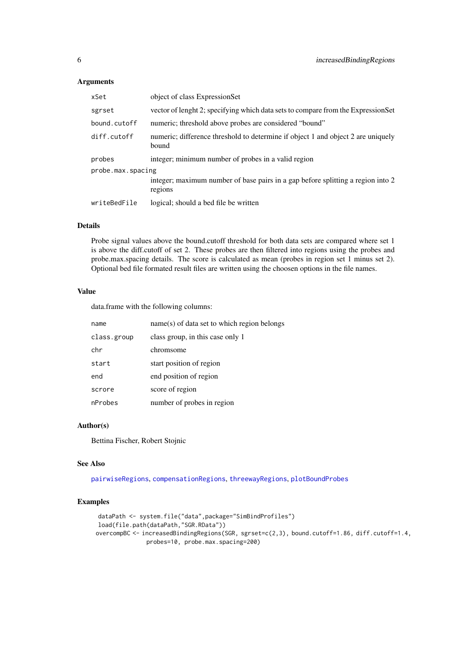# <span id="page-5-0"></span>Arguments

| xSet              | object of class ExpressionSet                                                              |
|-------------------|--------------------------------------------------------------------------------------------|
| sgrset            | vector of lenght 2; specifying which data sets to compare from the ExpressionSet           |
| bound.cutoff      | numeric; threshold above probes are considered "bound"                                     |
| diff.cutoff       | numeric; difference threshold to determine if object 1 and object 2 are uniquely<br>bound  |
| probes            | integer; minimum number of probes in a valid region                                        |
| probe.max.spacing |                                                                                            |
|                   | integer; maximum number of base pairs in a gap before splitting a region into 2<br>regions |
| writeBedFile      | logical; should a bed file be written                                                      |

# Details

Probe signal values above the bound.cutoff threshold for both data sets are compared where set 1 is above the diff.cutoff of set 2. These probes are then filtered into regions using the probes and probe.max.spacing details. The score is calculated as mean (probes in region set 1 minus set 2). Optional bed file formated result files are written using the choosen options in the file names.

# Value

data.frame with the following columns:

| name        | name(s) of data set to which region belongs |
|-------------|---------------------------------------------|
| class.group | class group, in this case only 1            |
| chr         | chromsome                                   |
| start       | start position of region                    |
| end         | end position of region                      |
| scrore      | score of region                             |
| nProbes     | number of probes in region                  |

# Author(s)

Bettina Fischer, Robert Stojnic

#### See Also

[pairwiseRegions](#page-6-1), [compensationRegions](#page-1-1), [threewayRegions](#page-11-1), [plotBoundProbes](#page-7-1)

```
dataPath <- system.file("data",package="SimBindProfiles")
load(file.path(dataPath,"SGR.RData"))
overcompBC <- increasedBindingRegions(SGR, sgrset=c(2,3), bound.cutoff=1.86, diff.cutoff=1.4,
              probes=10, probe.max.spacing=200)
```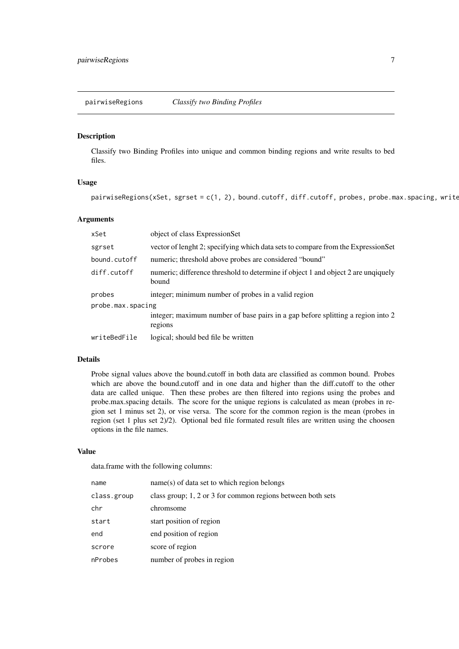<span id="page-6-1"></span><span id="page-6-0"></span>pairwiseRegions *Classify two Binding Profiles*

#### Description

Classify two Binding Profiles into unique and common binding regions and write results to bed files.

# Usage

pairwiseRegions(xSet, sgrset = c(1, 2), bound.cutoff, diff.cutoff, probes, probe.max.spacing, write

# Arguments

| xSet              | object of class ExpressionSet                                                              |
|-------------------|--------------------------------------------------------------------------------------------|
| sgrset            | vector of lenght 2; specifying which data sets to compare from the ExpressionSet           |
| bound.cutoff      | numeric; threshold above probes are considered "bound"                                     |
| diff.cutoff       | numeric; difference threshold to determine if object 1 and object 2 are unqiquely<br>bound |
| probes            | integer; minimum number of probes in a valid region                                        |
| probe.max.spacing | integer; maximum number of base pairs in a gap before splitting a region into 2<br>regions |
| writeBedFile      | logical; should bed file be written                                                        |

#### Details

Probe signal values above the bound.cutoff in both data are classified as common bound. Probes which are above the bound.cutoff and in one data and higher than the diff.cutoff to the other data are called unique. Then these probes are then filtered into regions using the probes and probe.max.spacing details. The score for the unique regions is calculated as mean (probes in region set 1 minus set 2), or vise versa. The score for the common region is the mean (probes in region (set 1 plus set 2)/2). Optional bed file formated result files are written using the choosen options in the file names.

# Value

data.frame with the following columns:

| name        | name(s) of data set to which region belongs                 |
|-------------|-------------------------------------------------------------|
| class.group | class group; 1, 2 or 3 for common regions between both sets |
| chr         | chromsome                                                   |
| start       | start position of region                                    |
| end         | end position of region                                      |
| scrore      | score of region                                             |
| nProbes     | number of probes in region                                  |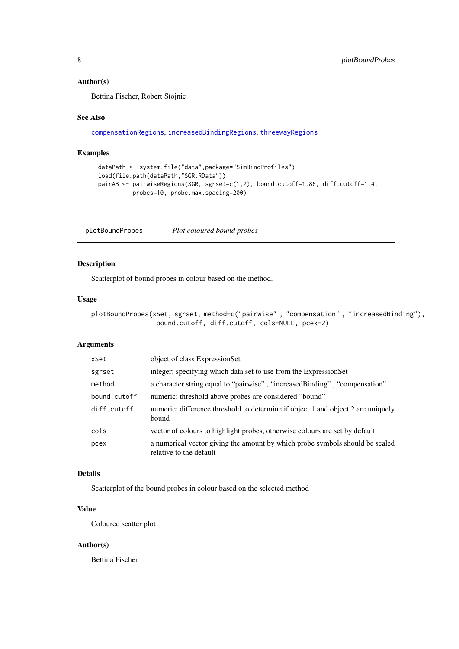# <span id="page-7-0"></span>Author(s)

Bettina Fischer, Robert Stojnic

#### See Also

[compensationRegions](#page-1-1), [increasedBindingRegions](#page-4-1), [threewayRegions](#page-11-1)

#### Examples

```
dataPath <- system.file("data",package="SimBindProfiles")
load(file.path(dataPath,"SGR.RData"))
pairAB <- pairwiseRegions(SGR, sgrset=c(1,2), bound.cutoff=1.86, diff.cutoff=1.4,
         probes=10, probe.max.spacing=200)
```
<span id="page-7-1"></span>plotBoundProbes *Plot coloured bound probes*

#### Description

Scatterplot of bound probes in colour based on the method.

# Usage

```
plotBoundProbes(xSet, sgrset, method=c("pairwise", "compensation", "increasedBinding"),
                 bound.cutoff, diff.cutoff, cols=NULL, pcex=2)
```
# Arguments

| xSet         | object of class ExpressionSet                                                                           |
|--------------|---------------------------------------------------------------------------------------------------------|
| sgrset       | integer; specifying which data set to use from the ExpressionSet                                        |
| method       | a character string equal to "pairwise", "increased Binding", "compensation"                             |
| bound.cutoff | numeric; threshold above probes are considered "bound"                                                  |
| diff.cutoff  | numeric; difference threshold to determine if object 1 and object 2 are uniquely<br>bound               |
| cols         | vector of colours to highlight probes, otherwise colours are set by default                             |
| pcex         | a numerical vector giving the amount by which probe symbols should be scaled<br>relative to the default |

# Details

Scatterplot of the bound probes in colour based on the selected method

# Value

Coloured scatter plot

#### Author(s)

Bettina Fischer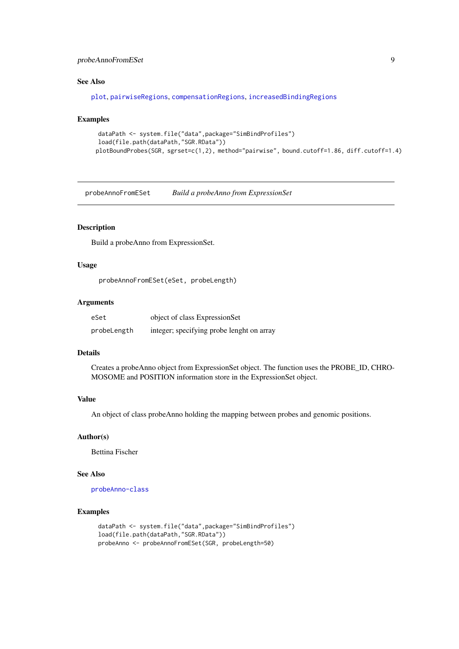#### <span id="page-8-0"></span>probeAnnoFromESet 9

#### See Also

[plot](#page-0-0), [pairwiseRegions](#page-6-1), [compensationRegions](#page-1-1), [increasedBindingRegions](#page-4-1)

# Examples

```
dataPath <- system.file("data",package="SimBindProfiles")
load(file.path(dataPath,"SGR.RData"))
plotBoundProbes(SGR, sgrset=c(1,2), method="pairwise", bound.cutoff=1.86, diff.cutoff=1.4)
```
probeAnnoFromESet *Build a probeAnno from ExpressionSet*

#### Description

Build a probeAnno from ExpressionSet.

## Usage

```
probeAnnoFromESet(eSet, probeLength)
```
#### Arguments

| eSet        | object of class ExpressionSet             |
|-------------|-------------------------------------------|
| probeLength | integer; specifying probe lenght on array |

#### Details

Creates a probeAnno object from ExpressionSet object. The function uses the PROBE\_ID, CHRO-MOSOME and POSITION information store in the ExpressionSet object.

# Value

An object of class probeAnno holding the mapping between probes and genomic positions.

### Author(s)

Bettina Fischer

#### See Also

[probeAnno-class](#page-0-0)

```
dataPath <- system.file("data",package="SimBindProfiles")
load(file.path(dataPath,"SGR.RData"))
probeAnno <- probeAnnoFromESet(SGR, probeLength=50)
```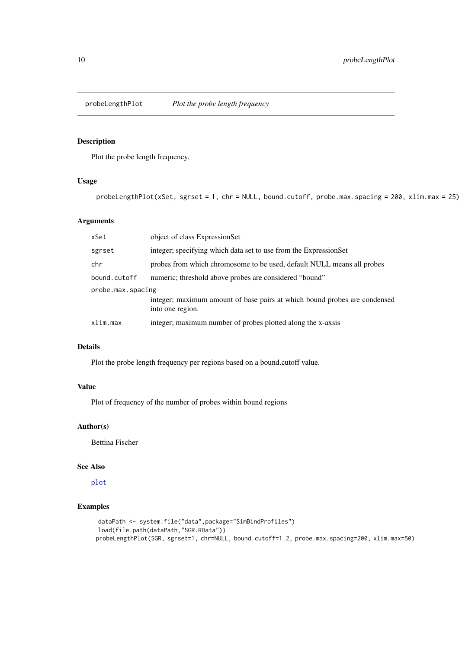<span id="page-9-0"></span>

# Description

Plot the probe length frequency.

# Usage

probeLengthPlot(xSet, sgrset = 1, chr = NULL, bound.cutoff, probe.max.spacing = 200, xlim.max = 25)

# Arguments

| xSet              | object of class ExpressionSet                                                                 |  |
|-------------------|-----------------------------------------------------------------------------------------------|--|
| sgrset            | integer; specifying which data set to use from the ExpressionSet                              |  |
| chr               | probes from which chromosome to be used, default NULL means all probes                        |  |
| bound.cutoff      | numeric; threshold above probes are considered "bound"                                        |  |
| probe.max.spacing |                                                                                               |  |
|                   | integer; maximum amount of base pairs at which bound probes are condensed<br>into one region. |  |
| xlim.max          | integer; maximum number of probes plotted along the x-axsis                                   |  |

# Details

Plot the probe length frequency per regions based on a bound.cutoff value.

# Value

Plot of frequency of the number of probes within bound regions

# Author(s)

Bettina Fischer

#### See Also

[plot](#page-0-0)

```
dataPath <- system.file("data",package="SimBindProfiles")
load(file.path(dataPath,"SGR.RData"))
probeLengthPlot(SGR, sgrset=1, chr=NULL, bound.cutoff=1.2, probe.max.spacing=200, xlim.max=50)
```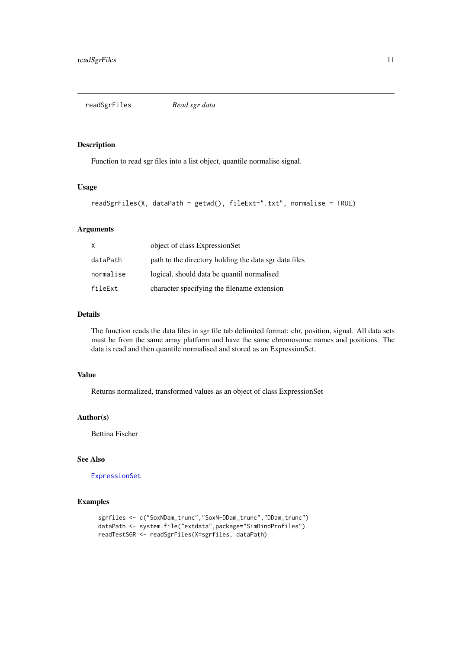<span id="page-10-0"></span>readSgrFiles *Read sgr data*

#### Description

Function to read sgr files into a list object, quantile normalise signal.

#### Usage

```
readSgrFiles(X, dataPath = getwd(), fileExt=".txt", normalise = TRUE)
```
#### Arguments

| X         | object of class ExpressionSet                         |
|-----------|-------------------------------------------------------|
| dataPath  | path to the directory holding the data sgr data files |
| normalise | logical, should data be quantil normalised            |
| fileExt   | character specifying the filename extension           |

## Details

The function reads the data files in sgr file tab delimited format: chr, position, signal. All data sets must be from the same array platform and have the same chromosome names and positions. The data is read and then quantile normalised and stored as an ExpressionSet.

# Value

Returns normalized, transformed values as an object of class ExpressionSet

### Author(s)

Bettina Fischer

# See Also

[ExpressionSet](#page-0-0)

```
sgrfiles <- c("SoxNDam_trunc","SoxN-DDam_trunc","DDam_trunc")
dataPath <- system.file("extdata",package="SimBindProfiles")
readTestSGR <- readSgrFiles(X=sgrfiles, dataPath)
```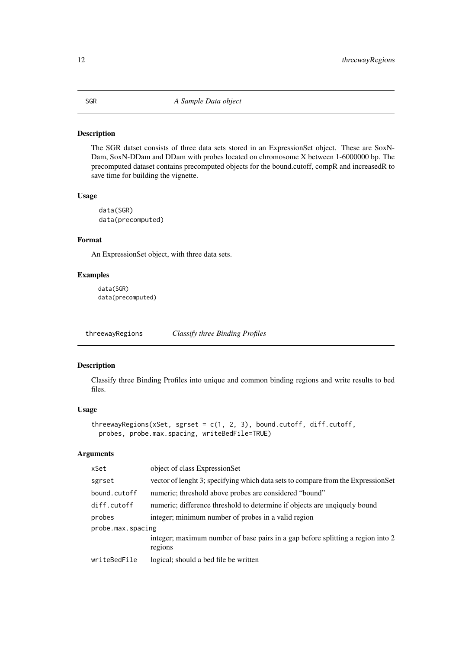#### <span id="page-11-0"></span>Description

The SGR datset consists of three data sets stored in an ExpressionSet object. These are SoxN-Dam, SoxN-DDam and DDam with probes located on chromosome X between 1-6000000 bp. The precomputed dataset contains precomputed objects for the bound.cutoff, compR and increasedR to save time for building the vignette.

# Usage

data(SGR) data(precomputed)

## Format

An ExpressionSet object, with three data sets.

# Examples

data(SGR) data(precomputed)

<span id="page-11-1"></span>threewayRegions *Classify three Binding Profiles*

#### Description

Classify three Binding Profiles into unique and common binding regions and write results to bed files.

# Usage

```
threewayRegions(xSet, sgrset = c(1, 2, 3), bound.cutoff, diff.cutoff,
 probes, probe.max.spacing, writeBedFile=TRUE)
```
# Arguments

| xSet              | object of class ExpressionSet                                                              |  |  |
|-------------------|--------------------------------------------------------------------------------------------|--|--|
| sgrset            | vector of lenght 3; specifying which data sets to compare from the ExpressionSet           |  |  |
| bound.cutoff      | numeric; threshold above probes are considered "bound"                                     |  |  |
| diff.cutoff       | numeric; difference threshold to determine if objects are unqiquely bound                  |  |  |
| probes            | integer; minimum number of probes in a valid region                                        |  |  |
| probe.max.spacing |                                                                                            |  |  |
|                   | integer; maximum number of base pairs in a gap before splitting a region into 2<br>regions |  |  |
| writeBedFile      | logical; should a bed file be written                                                      |  |  |
|                   |                                                                                            |  |  |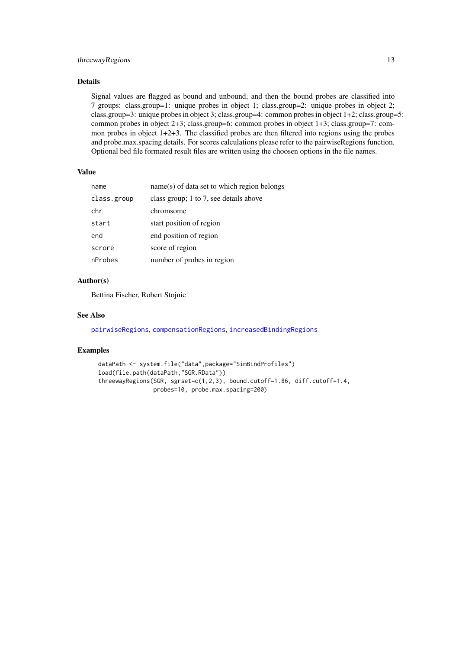#### <span id="page-12-0"></span>threewayRegions 13

#### Details

Signal values are flagged as bound and unbound, and then the bound probes are classified into 7 groups: class.group=1: unique probes in object 1; class.group=2: unique probes in object 2; class.group=3: unique probes in object 3; class.group=4: common probes in object 1+2; class.group=5: common probes in object 2+3; class.group=6: common probes in object 1+3; class.group=7: common probes in object 1+2+3. The classified probes are then filtered into regions using the probes and probe.max.spacing details. For scores calculations please refer to the pairwiseRegions function. Optional bed file formated result files are written using the choosen options in the file names.

#### Value

| name        | name(s) of data set to which region belongs |
|-------------|---------------------------------------------|
| class.group | class group; 1 to 7, see details above      |
| chr         | chromsome                                   |
| start       | start position of region                    |
| end         | end position of region                      |
| scrore      | score of region                             |
| nProbes     | number of probes in region                  |

#### Author(s)

Bettina Fischer, Robert Stojnic

#### See Also

[pairwiseRegions](#page-6-1), [compensationRegions](#page-1-1), [increasedBindingRegions](#page-4-1)

```
dataPath <- system.file("data",package="SimBindProfiles")
load(file.path(dataPath,"SGR.RData"))
threewayRegions(SGR, sgrset=c(1,2,3), bound.cutoff=1.86, diff.cutoff=1.4,
               probes=10, probe.max.spacing=200)
```